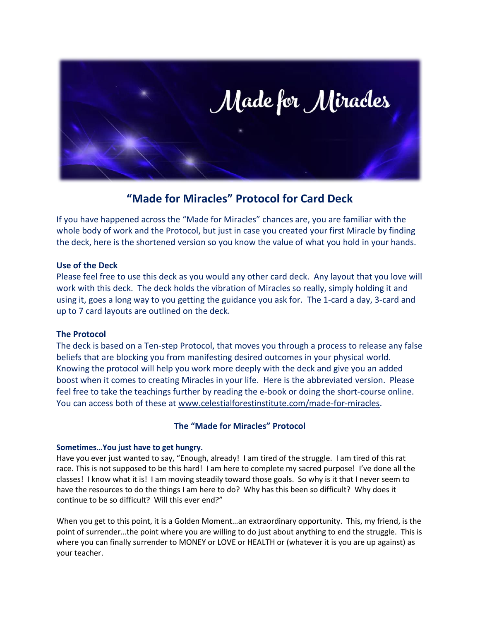

## **"Made for Miracles" Protocol for Card Deck**

If you have happened across the "Made for Miracles" chances are, you are familiar with the whole body of work and the Protocol, but just in case you created your first Miracle by finding the deck, here is the shortened version so you know the value of what you hold in your hands.

## **Use of the Deck**

Please feel free to use this deck as you would any other card deck. Any layout that you love will work with this deck. The deck holds the vibration of Miracles so really, simply holding it and using it, goes a long way to you getting the guidance you ask for. The 1-card a day, 3-card and up to 7 card layouts are outlined on the deck.

## **The Protocol**

The deck is based on a Ten-step Protocol, that moves you through a process to release any false beliefs that are blocking you from manifesting desired outcomes in your physical world. Knowing the protocol will help you work more deeply with the deck and give you an added boost when it comes to creating Miracles in your life. Here is the abbreviated version. Please feel free to take the teachings further by reading the e-book or doing the short-course online. You can access both of these at [www.celestialforestinstitute.com/made-for-miracles.](http://www.celestialforestinstitute.com/made-for-miracles)

## **The "Made for Miracles" Protocol**

## **Sometimes…You just have to get hungry.**

Have you ever just wanted to say, "Enough, already! I am tired of the struggle. I am tired of this rat race. This is not supposed to be this hard! I am here to complete my sacred purpose! I've done all the classes! I know what it is! I am moving steadily toward those goals. So why is it that I never seem to have the resources to do the things I am here to do? Why has this been so difficult? Why does it continue to be so difficult? Will this ever end?"

When you get to this point, it is a Golden Moment…an extraordinary opportunity. This, my friend, is the point of surrender…the point where you are willing to do just about anything to end the struggle. This is where you can finally surrender to MONEY or LOVE or HEALTH or (whatever it is you are up against) as your teacher.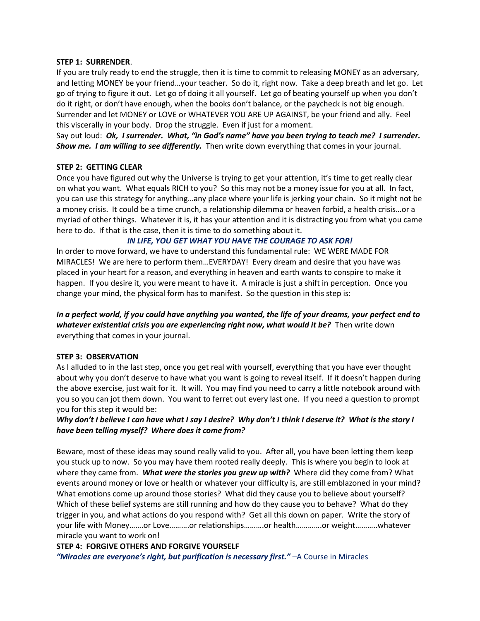#### **STEP 1: SURRENDER**.

If you are truly ready to end the struggle, then it is time to commit to releasing MONEY as an adversary, and letting MONEY be your friend…your teacher. So do it, right now. Take a deep breath and let go. Let go of trying to figure it out. Let go of doing it all yourself. Let go of beating yourself up when you don't do it right, or don't have enough, when the books don't balance, or the paycheck is not big enough. Surrender and let MONEY or LOVE or WHATEVER YOU ARE UP AGAINST, be your friend and ally. Feel this viscerally in your body. Drop the struggle. Even if just for a moment.

Say out loud: *Ok, I surrender. What, "in God's name" have you been trying to teach me? I surrender. Show me. I am willing to see differently.* Then write down everything that comes in your journal.

## **STEP 2: GETTING CLEAR**

Once you have figured out why the Universe is trying to get your attention, it's time to get really clear on what you want. What equals RICH to you? So this may not be a money issue for you at all. In fact, you can use this strategy for anything…any place where your life is jerking your chain. So it might not be a money crisis. It could be a time crunch, a relationship dilemma or heaven forbid, a health crisis…or a myriad of other things. Whatever it is, it has your attention and it is distracting you from what you came here to do. If that is the case, then it is time to do something about it.

## *IN LIFE, YOU GET WHAT YOU HAVE THE COURAGE TO ASK FOR!*

In order to move forward, we have to understand this fundamental rule: WE WERE MADE FOR MIRACLES! We are here to perform them…EVERYDAY! Every dream and desire that you have was placed in your heart for a reason, and everything in heaven and earth wants to conspire to make it happen. If you desire it, you were meant to have it. A miracle is just a shift in perception. Once you change your mind, the physical form has to manifest. So the question in this step is:

*In a perfect world, if you could have anything you wanted, the life of your dreams, your perfect end to*  whatever existential crisis you are experiencing right now, what would it be? Then write down everything that comes in your journal.

#### **STEP 3: OBSERVATION**

As I alluded to in the last step, once you get real with yourself, everything that you have ever thought about why you don't deserve to have what you want is going to reveal itself. If it doesn't happen during the above exercise, just wait for it. It will. You may find you need to carry a little notebook around with you so you can jot them down. You want to ferret out every last one. If you need a question to prompt you for this step it would be:

## *Why don't I believe I can have what I say I desire? Why don't I think I deserve it? What is the story I have been telling myself? Where does it come from?*

Beware, most of these ideas may sound really valid to you. After all, you have been letting them keep you stuck up to now. So you may have them rooted really deeply. This is where you begin to look at where they came from. *What were the stories you grew up with?* Where did they come from? What events around money or love or health or whatever your difficulty is, are still emblazoned in your mind? What emotions come up around those stories? What did they cause you to believe about yourself? Which of these belief systems are still running and how do they cause you to behave? What do they trigger in you, and what actions do you respond with? Get all this down on paper. Write the story of your life with Money…….or Love……….or relationships……….or health………….or weight………..whatever miracle you want to work on!

## **STEP 4: FORGIVE OTHERS AND FORGIVE YOURSELF**

*"Miracles are everyone's right, but purification is necessary first."* - A Course in Miracles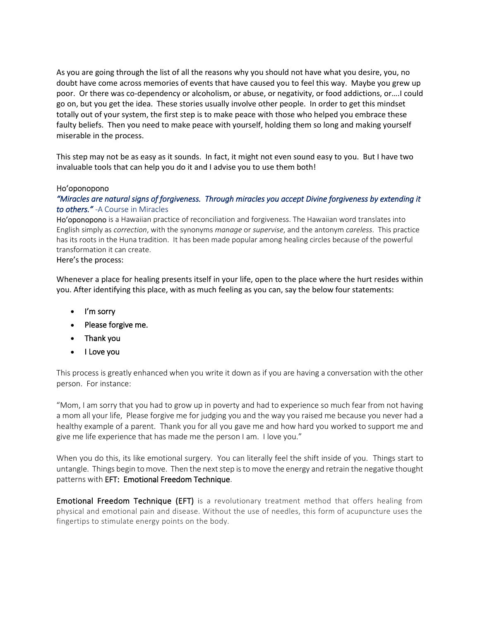As you are going through the list of all the reasons why you should not have what you desire, you, no doubt have come across memories of events that have caused you to feel this way. Maybe you grew up poor. Or there was co-dependency or alcoholism, or abuse, or negativity, or food addictions, or….I could go on, but you get the idea. These stories usually involve other people. In order to get this mindset totally out of your system, the first step is to make peace with those who helped you embrace these faulty beliefs. Then you need to make peace with yourself, holding them so long and making yourself miserable in the process.

This step may not be as easy as it sounds. In fact, it might not even sound easy to you. But I have two invaluable tools that can help you do it and I advise you to use them both!

#### Hoʻoponopono

## *"Miracles are natural signs of forgiveness. Through miracles you accept Divine forgiveness by extending it to others."* -A Course in Miracles

Ho'oponopono is [a Hawaiian](https://en.wikipedia.org/wiki/Hawaii) practice o[f reconciliation](https://en.wiktionary.org/wiki/reconciliation) an[d forgiveness.](https://en.wikipedia.org/wiki/Forgiveness) The Hawaiian word translates into English simply as *correction*, with the synonyms *manage* or *supervise*, and the antonym *careless*. This practice has its roots in the Huna tradition. It has been made popular among healing circles because of the powerful transformation it can create.

#### Here's the process:

Whenever a place for healing presents itself in your life, open to the place where the hurt resides within you. After identifying this place, with as much feeling as you can, say the below four statements:

- I'm sorry
- Please forgive me.
- Thank you
- I Love you

This process is greatly enhanced when you write it down as if you are having a conversation with the other person. For instance:

"Mom, I am sorry that you had to grow up in poverty and had to experience so much fear from not having a mom all your life, Please forgive me for judging you and the way you raised me because you never had a healthy example of a parent. Thank you for all you gave me and how hard you worked to support me and give me life experience that has made me the person I am. I love you."

When you do this, its like emotional surgery. You can literally feel the shift inside of you. Things start to untangle. Things begin to move. Then the next step is to move the energy and retrain the negative thought patterns with EFT: Emotional Freedom Technique.

**Emotional Freedom Technique (EFT)** is a revolutionary treatment method that offers healing from physical and emotional pain and disease. Without the use of needles, this form of acupuncture uses the fingertips to stimulate energy points on the body.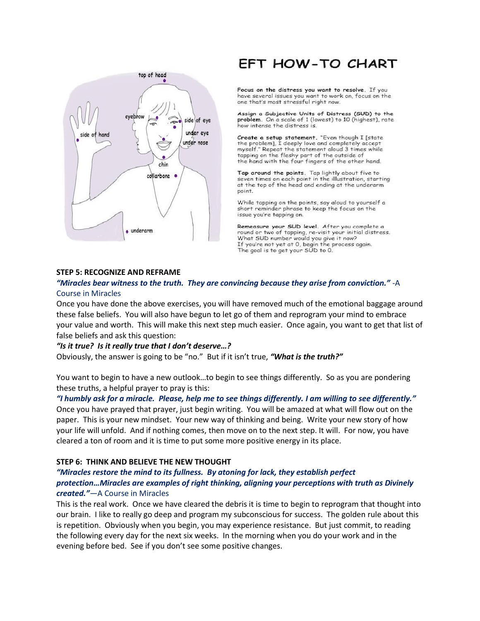

# **EFT HOW-TO CHART**

Focus on the distress you want to resolve. If you have several issues you want to work on, focus on the one that's most stressful right now.

Assign a Subjective Units of Distress (SUD) to the problem. On a scale of 1 (lowest) to 10 (highest), rate how intense the distress is.

Create a setup statement. "Even though I [state<br>the problem], I deeply love and completely accept myself." Repeat the statement aloud 3 times while tapping on the fleshy part of the outside of the hand with the four fingers of the other hand.

Tap around the points. Tap lightly about five to seven times on each point in the illustration, starting at the top of the head and ending at the underarm point.

While tapping on the points, say aloud to yourself a short reminder phrase to keep the focus on the issue you're tapping on.

Remeasure your SUD level. After you complete a round or two of tapping, re-visit your initial distress. What SUD number would you give it now? If you're not yet at 0, begin the process again. The goal is to get your SUD to 0.

#### **STEP 5: RECOGNIZE AND REFRAME**

## *"Miracles bear witness to the truth. They are convincing because they arise from conviction."* -A Course in Miracles

Once you have done the above exercises, you will have removed much of the emotional baggage around these false beliefs. You will also have begun to let go of them and reprogram your mind to embrace your value and worth. This will make this next step much easier. Once again, you want to get that list of false beliefs and ask this question:

#### *"Is it true? Is it really true that I don't deserve…?*

Obviously, the answer is going to be "no." But if it isn't true, *"What is the truth?"*

You want to begin to have a new outlook…to begin to see things differently. So as you are pondering these truths, a helpful prayer to pray is this:

*"I humbly ask for a miracle. Please, help me to see things differently. I am willing to see differently."* Once you have prayed that prayer, just begin writing. You will be amazed at what will flow out on the paper. This is your new mindset. Your new way of thinking and being. Write your new story of how your life will unfold. And if nothing comes, then move on to the next step. It will. For now, you have cleared a ton of room and it is time to put some more positive energy in its place.

#### **STEP 6: THINK AND BELIEVE THE NEW THOUGHT**

## *"Miracles restore the mind to its fullness. By atoning for lack, they establish perfect protection…Miracles are examples of right thinking, aligning your perceptions with truth as Divinely created."*—A Course in Miracles

This is the real work. Once we have cleared the debris it is time to begin to reprogram that thought into our brain. I like to really go deep and program my subconscious for success. The golden rule about this is repetition. Obviously when you begin, you may experience resistance. But just commit, to reading the following every day for the next six weeks. In the morning when you do your work and in the evening before bed. See if you don't see some positive changes.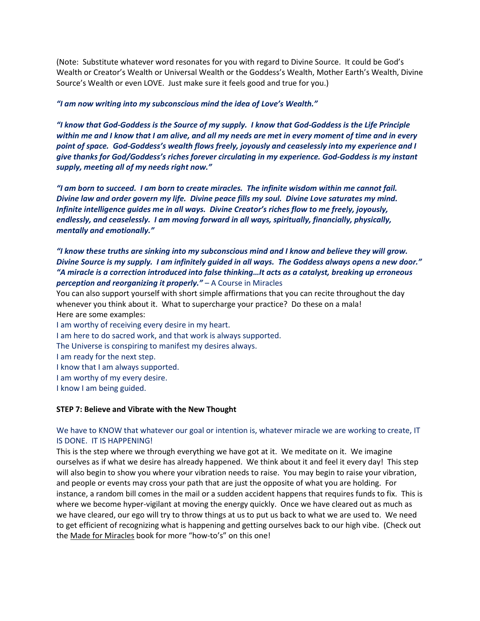(Note: Substitute whatever word resonates for you with regard to Divine Source. It could be God's Wealth or Creator's Wealth or Universal Wealth or the Goddess's Wealth, Mother Earth's Wealth, Divine Source's Wealth or even LOVE. Just make sure it feels good and true for you.)

#### *"I am now writing into my subconscious mind the idea of Love's Wealth."*

*"I know that God-Goddess is the Source of my supply. I know that God-Goddess is the Life Principle within me and I know that I am alive, and all my needs are met in every moment of time and in every point of space. God-Goddess's wealth flows freely, joyously and ceaselessly into my experience and I give thanks for God/Goddess's riches forever circulating in my experience. God-Goddess is my instant supply, meeting all of my needs right now."*

*"I am born to succeed. I am born to create miracles. The infinite wisdom within me cannot fail. Divine law and order govern my life. Divine peace fills my soul. Divine Love saturates my mind. Infinite intelligence guides me in all ways. Divine Creator's riches flow to me freely, joyously, endlessly, and ceaselessly. I am moving forward in all ways, spiritually, financially, physically, mentally and emotionally."*

## *"I know these truths are sinking into my subconscious mind and I know and believe they will grow. Divine Source is my supply. I am infinitely guided in all ways. The Goddess always opens a new door." "A miracle is a correction introduced into false thinking…It acts as a catalyst, breaking up erroneous perception and reorganizing it properly."* – A Course in Miracles

You can also support yourself with short simple affirmations that you can recite throughout the day whenever you think about it. What to supercharge your practice? Do these on a mala! Here are some examples:

I am worthy of receiving every desire in my heart. I am here to do sacred work, and that work is always supported. The Universe is conspiring to manifest my desires always. I am ready for the next step. I know that I am always supported. I am worthy of my every desire. I know I am being guided.

#### **STEP 7: Believe and Vibrate with the New Thought**

## We have to KNOW that whatever our goal or intention is, whatever miracle we are working to create, IT IS DONE. IT IS HAPPENING!

This is the step where we through everything we have got at it. We meditate on it. We imagine ourselves as if what we desire has already happened. We think about it and feel it every day! This step will also begin to show you where your vibration needs to raise. You may begin to raise your vibration, and people or events may cross your path that are just the opposite of what you are holding. For instance, a random bill comes in the mail or a sudden accident happens that requires funds to fix. This is where we become hyper-vigilant at moving the energy quickly. Once we have cleared out as much as we have cleared, our ego will try to throw things at us to put us back to what we are used to. We need to get efficient of recognizing what is happening and getting ourselves back to our high vibe. (Check out the Made for Miracles book for more "how-to's" on this one!